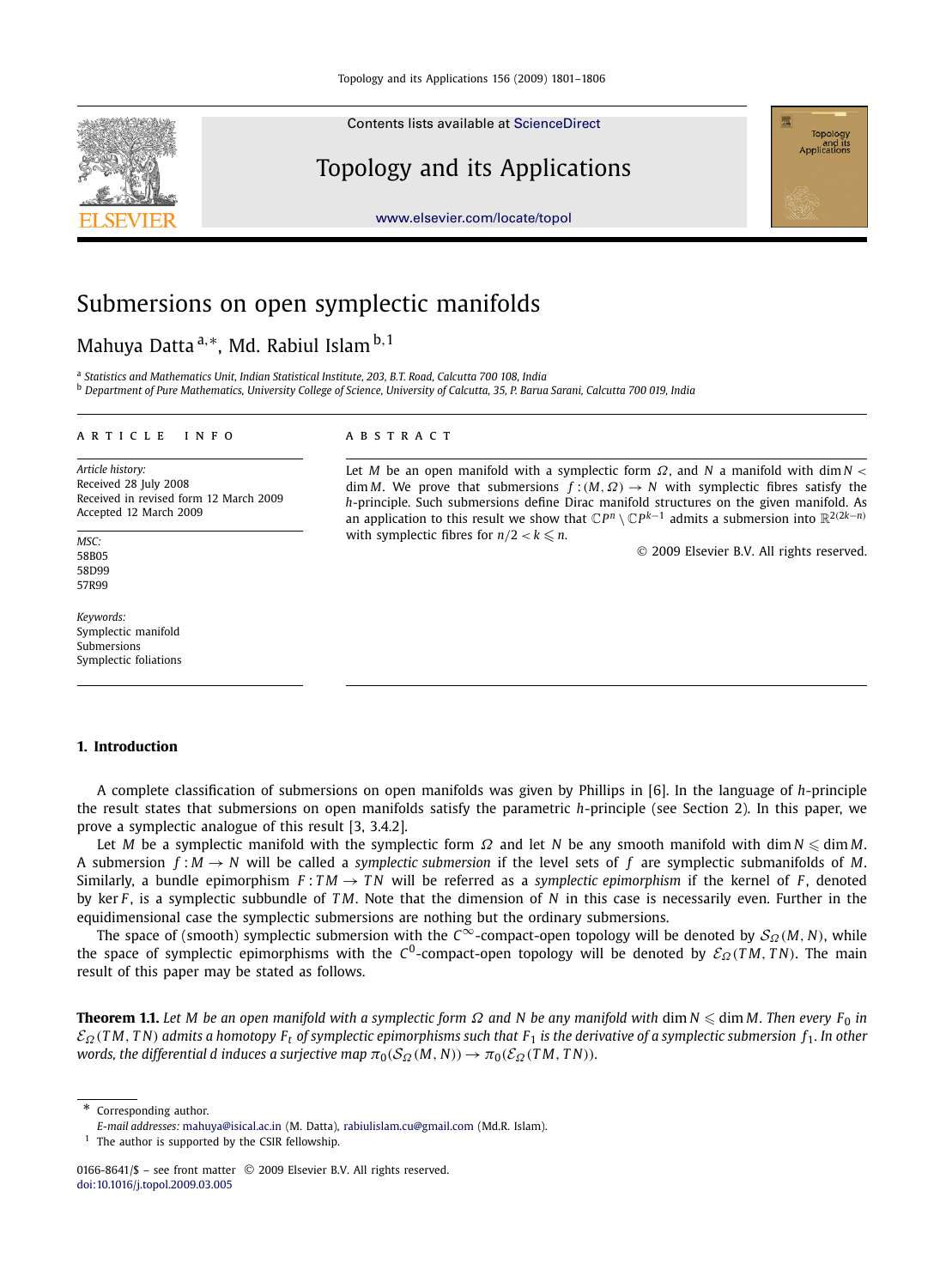Contents lists available at [ScienceDirect](http://www.ScienceDirect.com/)

# Topology and its Applications



[www.elsevier.com/locate/topol](http://www.elsevier.com/locate/topol)

# Submersions on open symplectic manifolds

## Mahuya Datta <sup>a,</sup>\*, Md. Rabiul Islam <sup>b, 1</sup>

a *Statistics and Mathematics Unit, Indian Statistical Institute, 203, B.T. Road, Calcutta 700 108, India*

<sup>b</sup> *Department of Pure Mathematics, University College of Science, University of Calcutta, 35, P. Barua Sarani, Calcutta 700 019, India*

#### article info abstract

*Article history:* Received 28 July 2008 Received in revised form 12 March 2009 Accepted 12 March 2009

*MSC:* 58B05 58D99 57R99

*Keywords:* Symplectic manifold Submersions Symplectic foliations

Let *M* be an open manifold with a symplectic form  $\Omega$ , and *N* a manifold with dim *N* <  $\dim M$ . We prove that submersions  $f:(M,\Omega) \to N$  with symplectic fibres satisfy the *h*-principle. Such submersions define Dirac manifold structures on the given manifold. As an application to this result we show that  $\mathbb{C}P^n \setminus \mathbb{C}P^{k-1}$  admits a submersion into  $\mathbb{R}^{2(2k-n)}$ with symplectic fibres for  $n/2 < k \leq n$ .

2009 Elsevier B.V. All rights reserved.

#### **1. Introduction**

A complete classification of submersions on open manifolds was given by Phillips in [6]. In the language of *h*-principle the result states that submersions on open manifolds satisfy the parametric *h*-principle (see Section 2). In this paper, we prove a symplectic analogue of this result [3, 3.4.2].

Let *M* be a symplectic manifold with the symplectic form  $\Omega$  and let  $N$  be any smooth manifold with dim  $N \leqslant \dim M$ . A submersion  $f : M \to N$  will be called a *symplectic submersion* if the level sets of f are symplectic submanifolds of M. Similarly, a bundle epimorphism  $F: TM \rightarrow TN$  will be referred as a *symplectic epimorphism* if the kernel of *F*, denoted by ker *F* , is a symplectic subbundle of *T M*. Note that the dimension of *N* in this case is necessarily even. Further in the equidimensional case the symplectic submersions are nothing but the ordinary submersions.

The space of (smooth) symplectic submersion with the *C*<sup>∞</sup>-compact-open topology will be denoted by *S*<sub>Ω</sub>(*M*, *N*), while the space of symplectic epimorphisms with the C<sup>0</sup>-compact-open topology will be denoted by  $\mathcal{E}_\Omega(TM,TN)$ . The main result of this paper may be stated as follows.

**Theorem 1.1.** *Let M be an open manifold with a symplectic form* Ω *and N be any manifold with* dim *N* - dim *M. Then every F*<sup>0</sup> *in* E<sup>Ω</sup> (*T M*, *T N*) *admits a homotopy F<sup>t</sup> of symplectic epimorphisms such that F*<sup>1</sup> *is the derivative of a symplectic submersion f*1*. In other words, the differential d induces a surjective map*  $\pi_0(S_{\Omega}(M, N)) \to \pi_0(\mathcal{E}_{\Omega}(TM, TN))$ *.* 

\* Corresponding author.

*E-mail addresses:* [mahuya@isical.ac.in](mailto:mahuya@isical.ac.in) (M. Datta), [rabiulislam.cu@gmail.com](mailto:rabiulislam.cu@gmail.com) (Md.R. Islam).

 $1$  The author is supported by the CSIR fellowship.

<sup>0166-8641/\$ -</sup> see front matter © 2009 Elsevier B.V. All rights reserved. [doi:10.1016/j.topol.2009.03.005](http://dx.doi.org/10.1016/j.topol.2009.03.005)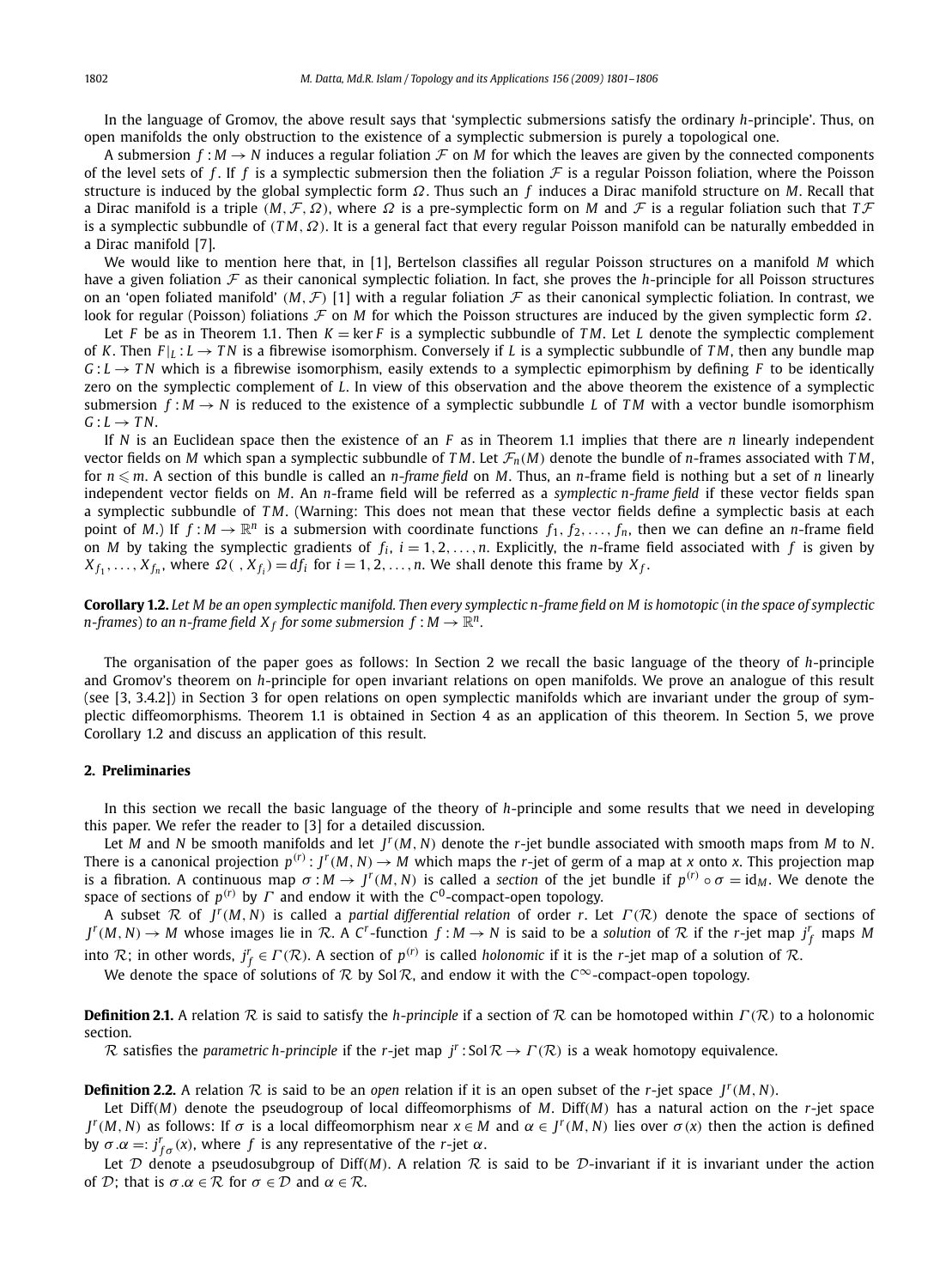In the language of Gromov, the above result says that 'symplectic submersions satisfy the ordinary *h*-principle'. Thus, on open manifolds the only obstruction to the existence of a symplectic submersion is purely a topological one.

A submersion  $f : M \to N$  induces a regular foliation  $F$  on M for which the leaves are given by the connected components of the level sets of f. If f is a symplectic submersion then the foliation  $\mathcal F$  is a regular Poisson foliation, where the Poisson structure is induced by the global symplectic form Ω. Thus such an *f* induces a Dirac manifold structure on *M*. Recall that a Dirac manifold is a triple  $(M, \mathcal{F}, \Omega)$ , where  $\Omega$  is a pre-symplectic form on  $M$  and  $\mathcal F$  is a regular foliation such that  $T\mathcal{F}$ is a symplectic subbundle of (*TM*, Ω). It is a general fact that every regular Poisson manifold can be naturally embedded in a Dirac manifold [7].

We would like to mention here that, in [1], Bertelson classifies all regular Poisson structures on a manifold *M* which have a given foliation F as their canonical symplectic foliation. In fact, she proves the *h*-principle for all Poisson structures on an 'open foliated manifold' (*M*,  $\mathcal{F}$ ) [1] with a regular foliation  $\mathcal F$  as their canonical symplectic foliation. In contrast, we look for regular (Poisson) foliations F on *M* for which the Poisson structures are induced by the given symplectic form Ω.

Let *F* be as in Theorem 1.1. Then  $K = \ker F$  is a symplectic subbundle of *TM*. Let *L* denote the symplectic complement of *K*. Then  $F|_L: L \to TN$  is a fibrewise isomorphism. Conversely if *L* is a symplectic subbundle of *TM*, then any bundle map  $G: L \to TN$  which is a fibrewise isomorphism, easily extends to a symplectic epimorphism by defining *F* to be identically zero on the symplectic complement of *L*. In view of this observation and the above theorem the existence of a symplectic submersion  $f: M \to N$  is reduced to the existence of a symplectic subbundle *L* of *TM* with a vector bundle isomorphism  $G: L \rightarrow TN$ .

If *N* is an Euclidean space then the existence of an *F* as in Theorem 1.1 implies that there are *n* linearly independent vector fields on *M* which span a symplectic subbundle of *TM*. Let  $\mathcal{F}_n(M)$  denote the bundle of *n*-frames associated with *TM*, for *n* - *m*. A section of this bundle is called an *n*-*frame field* on *M*. Thus, an *n*-frame field is nothing but a set of *n* linearly independent vector fields on *M*. An *n*-frame field will be referred as a *symplectic n-frame field* if these vector fields span a symplectic subbundle of *T M*. (Warning: This does not mean that these vector fields define a symplectic basis at each point of *M*.) If  $f : M \to \mathbb{R}^n$  is a submersion with coordinate functions  $f_1, f_2, \ldots, f_n$ , then we can define an *n*-frame field on *M* by taking the symplectic gradients of  $f_i$ ,  $i = 1, 2, ..., n$ . Explicitly, the *n*-frame field associated with  $f$  is given by  $X_{f_1}, \ldots, X_{f_n}$ , where  $\Omega(\cdot, X_{f_i}) = df_i$  for  $i = 1, 2, \ldots, n$ . We shall denote this frame by  $X_f$ .

**Corollary 1.2.** *Let M be an open symplectic manifold. Then every symplectic n-frame field on M is homotopic* (*in the space of symplectic*  $n$ -frames) to an  $n$ -frame field  $X_f$  for some submersion  $f : M \to \mathbb{R}^n$ .

The organisation of the paper goes as follows: In Section 2 we recall the basic language of the theory of *h*-principle and Gromov's theorem on *h*-principle for open invariant relations on open manifolds. We prove an analogue of this result (see [3, 3.4.2]) in Section 3 for open relations on open symplectic manifolds which are invariant under the group of symplectic diffeomorphisms. Theorem 1.1 is obtained in Section 4 as an application of this theorem. In Section 5, we prove Corollary 1.2 and discuss an application of this result.

### **2. Preliminaries**

In this section we recall the basic language of the theory of *h*-principle and some results that we need in developing this paper. We refer the reader to [3] for a detailed discussion.

Let *M* and *N* be smooth manifolds and let  $J^r(M, N)$  denote the *r*-jet bundle associated with smooth maps from *M* to *N*. There is a canonical projection  $p^{(r)}: J^r(M, N) \to M$  which maps the *r*-jet of germ of a map at *x* onto *x*. This projection map is a fibration. A continuous map  $\sigma : M \to J^r(M, N)$  is called a *section* of the jet bundle if  $p^{(r)} \circ \sigma = id_M$ . We denote the space of sections of  $p^{(r)}$  by  $\varGamma$  and endow it with the  $\mathcal{C}^0$ -compact-open topology.

A subset  $\mathcal R$  of  $J^r(M, N)$  is called a *partial differential relation* of order *r*. Let  $\Gamma(\mathcal R)$  denote the space of sections of  $J^r(M, N) \to M$  whose images lie in  $R$ . A C<sup>r</sup>-function  $f:M \to N$  is said to be a solution of  $R$  if the r-jet map  $j_f^r$  maps M

into R; in other words,  $j_f^r \in \Gamma(\mathcal{R})$ . A section of  $p^{(r)}$  is called *holonomic* if it is the *r*-jet map of a solution of R.

We denote the space of solutions of  $\mathcal R$  by Sol $\mathcal R$ , and endow it with the *C*<sup>∞</sup>-compact-open topology.

**Definition 2.1.** A relation R is said to satisfy the *h-principle* if a section of R can be homotoped within  $\Gamma(\mathcal{R})$  to a holonomic section.

R satisfies the *parametric h-principle* if the *r*-jet map  $j^r$ : Sol $\mathcal{R} \to \Gamma(\mathcal{R})$  is a weak homotopy equivalence.

**Definition 2.2.** A relation  $R$  is said to be an *open* relation if it is an open subset of the *r*-jet space  $J^r(M, N)$ .

Let Diff(*M*) denote the pseudogroup of local diffeomorphisms of *M*. Diff(*M*) has a natural action on the *r*-jet space *J*<sup>*r*</sup>(*M*, *N*) as follows: If  $\sigma$  is a local diffeomorphism near *x* ∈ *M* and  $\alpha$  ∈ *J<sup>r</sup>*(*M*, *N*) lies over  $\sigma$ (*x*) then the action is defined by  $\sigma \cdot \alpha =: j^r_{f\sigma}(x)$ , where *f* is any representative of the *r*-jet  $\alpha$ .

Let  $D$  denote a pseudosubgroup of Diff(*M*). A relation  $R$  is said to be  $D$ -invariant if it is invariant under the action of D; that is  $\sigma \alpha \in \mathcal{R}$  for  $\sigma \in \mathcal{D}$  and  $\alpha \in \mathcal{R}$ .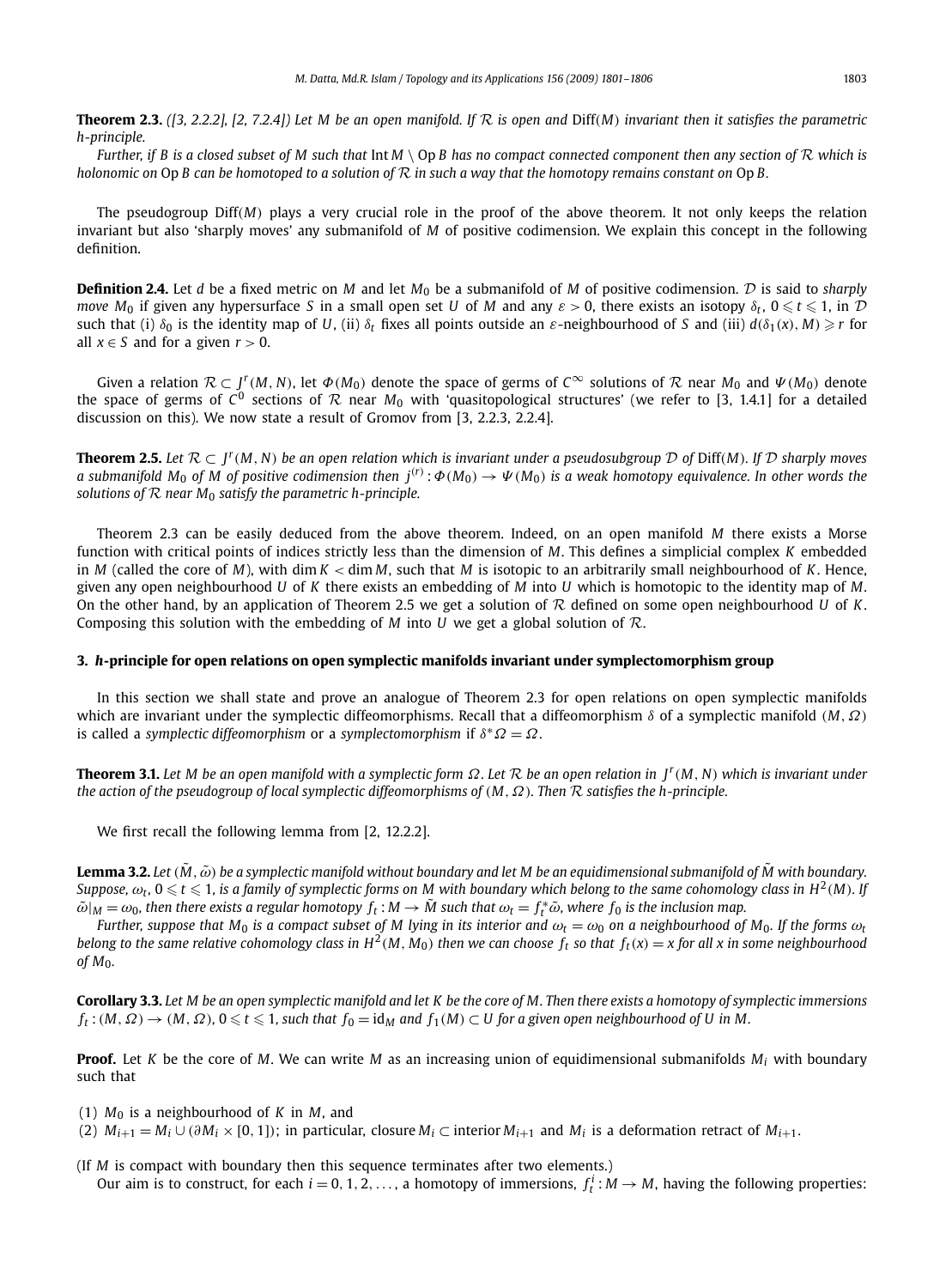**Theorem 2.3.** *([3, 2.2.2], [2, 7.2.4]) Let M be an open manifold. If*  $R$  *is open and Diff(M) invariant then it satisfies the parametric h-principle.*

*Further, if B is a closed subset of M such that* Int *<sup>M</sup>* \ Op *B has no compact connected component then any section of* <sup>R</sup> *which is holonomic on* Op *B can be homotoped to a solution of* R *in such a way that the homotopy remains constant on* Op *B.*

The pseudogroup Diff(*M*) plays a very crucial role in the proof of the above theorem. It not only keeps the relation invariant but also 'sharply moves' any submanifold of *M* of positive codimension. We explain this concept in the following definition.

**Definition 2.4.** Let *d* be a fixed metric on *M* and let *M*<sup>0</sup> be a submanifold of *M* of positive codimension. D is said to *sharply move M*<sub>0</sub> if given any hypersurface *S* in a small open set *U* of *M* and any  $\varepsilon > 0$ , there exists an isotopy  $\delta_t$ ,  $0 \leqslant t \leqslant 1$ , in  $\mathcal D$ such that (i)  $\delta_0$  is the identity map of *U*, (ii)  $\delta_t$  fixes all points outside an  $\varepsilon$ -neighbourhood of *S* and (iii)  $d(\delta_1(x), M) \ge r$  for all  $x \in S$  and for a given  $r > 0$ .

Given a relation  $\mathcal{R} \subset J^r(M, N)$ , let  $\Phi(M_0)$  denote the space of germs of  $C^\infty$  solutions of  $\mathcal{R}$  near  $M_0$  and  $\Psi(M_0)$  denote the space of germs of  $C^0$  sections of  ${\cal R}$  near  $M_0$  with 'quasitopological structures' (we refer to [3, 1.4.1] for a detailed discussion on this). We now state a result of Gromov from [3, 2.2.3, 2.2.4].

**Theorem 2.5.** Let  $\mathcal{R} \subset J^r(M, N)$  be an open relation which is invariant under a pseudosubgroup  $\mathcal{D}$  of Diff(*M*). If  $\mathcal{D}$  sharply moves *a* submanifold  $M_0$  of  $M$  of positive codimension then  $j^{(r)}$ :  $\Phi(M_0) \to \Psi(M_0)$  is a weak homotopy equivalence. In other words the *solutions of* R *near M*<sup>0</sup> *satisfy the parametric h-principle.*

Theorem 2.3 can be easily deduced from the above theorem. Indeed, on an open manifold *M* there exists a Morse function with critical points of indices strictly less than the dimension of *M*. This defines a simplicial complex *K* embedded in *M* (called the core of *M*), with dim *K* < dim *M*, such that *M* is isotopic to an arbitrarily small neighbourhood of *K*. Hence, given any open neighbourhood *U* of *K* there exists an embedding of *M* into *U* which is homotopic to the identity map of *M*. On the other hand, by an application of Theorem 2.5 we get a solution of R defined on some open neighbourhood *U* of *K*. Composing this solution with the embedding of *M* into *U* we get a global solution of  $\mathcal{R}$ .

#### **3.** *h***-principle for open relations on open symplectic manifolds invariant under symplectomorphism group**

In this section we shall state and prove an analogue of Theorem 2.3 for open relations on open symplectic manifolds which are invariant under the symplectic diffeomorphisms. Recall that a diffeomorphism δ of a symplectic manifold (*M*,Ω) is called a *symplectic diffeomorphism* or a *symplectomorphism* if δ <sup>∗</sup>Ω = Ω.

**Theorem 3.1.** *Let M be an open manifold with a symplectic form* Ω*. Let* R *be an open relation in J<sup>r</sup>* (*M*, *N*) *which is invariant under the action of the pseudogroup of local symplectic diffeomorphisms of* (*M*,Ω)*. Then* R *satisfies the h-principle.*

We first recall the following lemma from [2, 12.2.2].

**Lemma 3.2.** Let  $(\tilde{M}, \tilde{\omega})$  be a symplectic manifold without boundary and let M be an equidimensional submanifold of  $\tilde{M}$  with boundary. Suppose,  $\omega_t$ ,  $0\leqslant t\leqslant 1$ , is a family of symplectic forms on M with boundary which belong to the same cohomology class in  $H^2(M)$ . If  $\tilde{\omega}|_M = \omega_0$ , then there exists a regular homotopy  $f_t : M \to M$  such that  $\omega_t = f_t^* \tilde{\omega}$ , where  $f_0$  is the inclusion map.

*Further, suppose that*  $M_0$  *is a compact subset of* M lying in its interior and  $\omega_t = \omega_0$  on a neighbourhood of M<sub>0</sub>. If the forms  $\omega_t$ belong to the same relative cohomology class in  $H^2(M, M_0)$  then we can choose  $f_t$  so that  $f_t(x) = x$  for all x in some neighbourhood *of M*0*.*

**Corollary 3.3.** *Let M be an open symplectic manifold and let K be the core of M. Then there exists a homotopy of symplectic immersions*  $f_t$ :(*M*,  $\Omega$ )  $\to$  (*M*,  $\Omega$ ), 0  $\leq t \leq 1$ , such that  $f_0 = id_M$  and  $f_1(M) \subset U$  for a given open neighbourhood of U in M.

**Proof.** Let *K* be the core of *M*. We can write *M* as an increasing union of equidimensional submanifolds *M<sup>i</sup>* with boundary such that

- (1)  $M_0$  is a neighbourhood of K in M, and
- (2)  $M_{i+1} = M_i ∪ (∂M_i × [0, 1]);$  in particular, closure  $M_i ⊂$  interior  $M_{i+1}$  and  $M_i$  is a deformation retract of  $M_{i+1}$ .

(If *M* is compact with boundary then this sequence terminates after two elements.) Our aim is to construct, for each  $i = 0, 1, 2, \ldots$ , a homotopy of immersions,  $f_t^i : M \to M$ , having the following properties: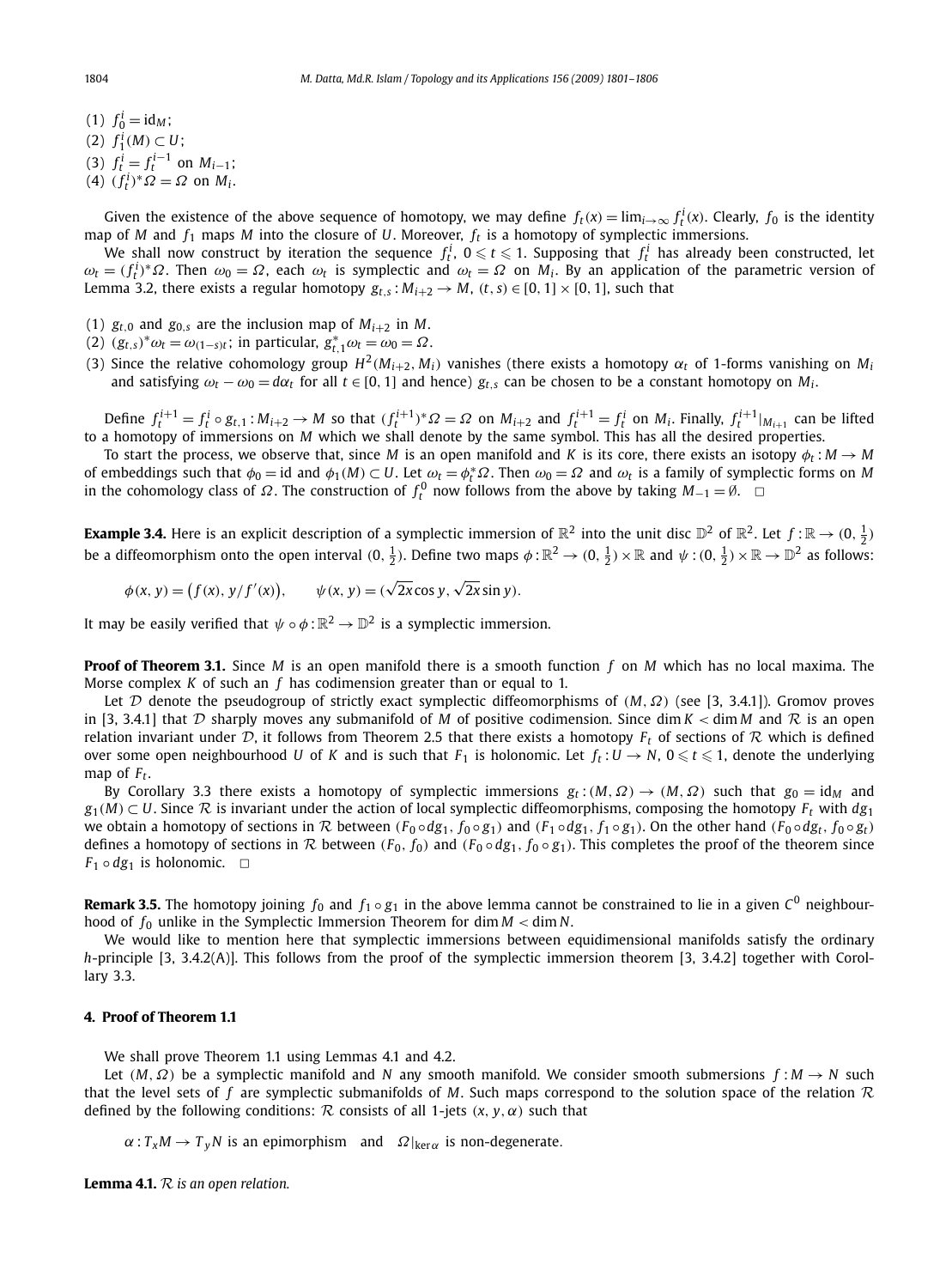- (1)  $f_0^i = id_M;$ (2)  $f_1^i(M) \subset U$ ; (3)  $f_t^i = f_t^{i-1}$  on  $M_{i-1}$ ;
- (4)  $(f_t^i)^* \Omega = \Omega$  on  $M_i$ .

Given the existence of the above sequence of homotopy, we may define  $f_t(x) = \lim_{i \to \infty} f_t^i(x)$ . Clearly,  $f_0$  is the identity map of *M* and *f*<sup>1</sup> maps *M* into the closure of *U*. Moreover, *f<sup>t</sup>* is a homotopy of symplectic immersions.

We shall now construct by iteration the sequence  $f_t^i$ ,  $0 \leqslant t \leqslant 1$ . Supposing that  $f_t^i$  has already been constructed, let  $ω$ <sub>*t*</sub> = ( $f_t$ <sup>*i*</sup>)<sup>\*</sup>Ω. Then  $ω$ <sub>0</sub> = Ω, each  $ω$ <sub>*t*</sub> is symplectic and  $ω$ <sub>*t*</sub> = Ω on *M<sub><i>i*</sub>. By an application of the parametric version of Lemma 3.2, there exists a regular homotopy  $g_{t,s}: M_{i+2} \to M$ ,  $(t,s) \in [0,1] \times [0,1]$ , such that

- (1)  $g_{t,0}$  and  $g_{0,s}$  are the inclusion map of  $M_{i+2}$  in M.
- (2)  $(g_{t,s})^* \omega_t = \omega_{(1-s)t}$ ; in particular,  $g_{t,1}^* \omega_t = \omega_0 = \Omega$ .
- (3) Since the relative cohomology group  $H^2(M_{i+2}, M_i)$  vanishes (there exists a homotopy  $\alpha_t$  of 1-forms vanishing on  $M_i$ and satisfying  $\omega_t - \omega_0 = d\alpha_t$  for all  $t \in [0, 1]$  and hence)  $g_{t,s}$  can be chosen to be a constant homotopy on  $M_i$ .

Define  $f_t^{i+1} = f_t^i \circ g_{t,1} : M_{i+2} \to M$  so that  $(f_t^{i+1})^* \Omega = \Omega$  on  $M_{i+2}$  and  $f_t^{i+1} = f_t^i$  on  $M_i$ . Finally,  $f_t^{i+1}|_{M_{i+1}}$  can be lifted to a homotopy of immersions on *M* which we shall denote by the same symbol. This has all the desired properties.

To start the process, we observe that, since *M* is an open manifold and *K* is its core, there exists an isotopy  $\phi_f : M \to M$ of embeddings such that  $\phi_0 = id$  and  $\phi_1(M) \subset U$ . Let  $\omega_t = \phi_t^* \Omega$ . Then  $\omega_0 = \Omega$  and  $\omega_t$  is a family of symplectic forms on *M* in the cohomology class of  $\Omega$ . The construction of  $f_t^0$  now follows from the above by taking  $M_{-1} = \emptyset$ .  $\Box$ 

**Example 3.4.** Here is an explicit description of a symplectic immersion of  $\mathbb{R}^2$  into the unit disc  $\mathbb{D}^2$  of  $\mathbb{R}^2$ . Let  $f:\mathbb{R}\to(0,\frac{1}{2})$ be a diffeomorphism onto the open interval  $(0,\frac12)$ . Define two maps  $\phi:\mathbb{R}^2\to(0,\frac12)\times\mathbb{R}$  and  $\psi:(0,\frac12)\times\mathbb{R}\to\mathbb{D}^2$  as follows:

 $\phi(x, y) = (f(x), y/f'(x)), \quad \psi(x, y) = (\sqrt{2x} \cos y, \sqrt{2x} \sin y).$ 

It may be easily verified that  $\psi \circ \phi : \mathbb{R}^2 \to \mathbb{D}^2$  is a symplectic immersion.

**Proof of Theorem 3.1.** Since *M* is an open manifold there is a smooth function *f* on *M* which has no local maxima. The Morse complex *K* of such an *f* has codimension greater than or equal to 1.

Let D denote the pseudogroup of strictly exact symplectic diffeomorphisms of (*M*,Ω) (see [3, 3.4.1]). Gromov proves in [3, 3.4.1] that  $D$  sharply moves any submanifold of  $M$  of positive codimension. Since dim  $K <$  dim  $M$  and  $R$  is an open relation invariant under  $D$ , it follows from Theorem 2.5 that there exists a homotopy  $F_t$  of sections of  $R$  which is defined over some open neighbourhood *U* of *K* and is such that  $F_1$  is holonomic. Let  $f_t: U \to N$ ,  $0 \leq t \leq 1$ , denote the underlying map of *F<sup>t</sup>* .

By Corollary 3.3 there exists a homotopy of symplectic immersions  $g_t$ :( $M, \Omega$ )  $\rightarrow$  ( $M, \Omega$ ) such that  $g_0 = id_M$  and  $g_1(M) \subset U$ . Since  $\mathcal R$  is invariant under the action of local symplectic diffeomorphisms, composing the homotopy  $F_t$  with  $dg_1$ we obtain a homotopy of sections in R between  $(F_0 \circ dg_1, f_0 \circ g_1)$  and  $(F_1 \circ dg_1, f_1 \circ g_1)$ . On the other hand  $(F_0 \circ dg_t, f_0 \circ g_t)$ defines a homotopy of sections in  $R$  between  $(F_0, f_0)$  and  $(F_0 \circ dg_1, f_0 \circ g_1)$ . This completes the proof of the theorem since  $F_1 \circ dg_1$  is holonomic.  $\Box$ 

**Remark 3.5.** The homotopy joining  $f_0$  and  $f_1 \circ g_1$  in the above lemma cannot be constrained to lie in a given  $C^0$  neighbourhood of  $f_0$  unlike in the Symplectic Immersion Theorem for dim  $M <$  dim N.

We would like to mention here that symplectic immersions between equidimensional manifolds satisfy the ordinary *h*-principle [3, 3.4.2(A)]. This follows from the proof of the symplectic immersion theorem [3, 3.4.2] together with Corollary 3.3.

#### **4. Proof of Theorem 1.1**

We shall prove Theorem 1.1 using Lemmas 4.1 and 4.2.

Let (*M*,Ω) be a symplectic manifold and *<sup>N</sup>* any smooth manifold. We consider smooth submersions *<sup>f</sup>* : *<sup>M</sup>* → *<sup>N</sup>* such that the level sets of *f* are symplectic submanifolds of *M*. Such maps correspond to the solution space of the relation R defined by the following conditions:  $R$  consists of all 1-jets  $(x, y, \alpha)$  such that

 $\alpha: T_xM \to T_yN$  is an epimorphism and  $\Omega|_{\text{ker }\alpha}$  is non-degenerate.

**Lemma 4.1.** R *is an open relation.*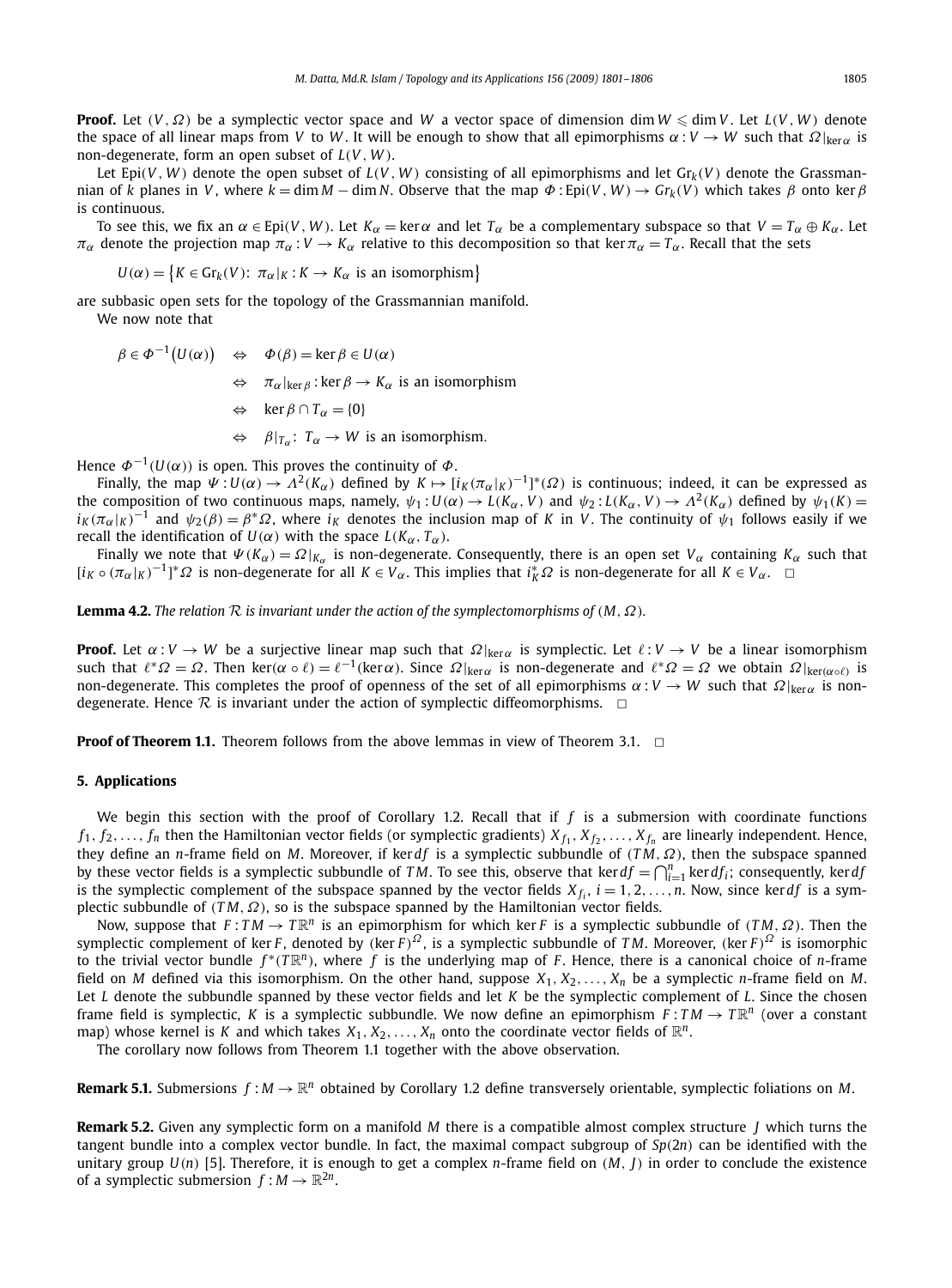**Proof.** Let (*V* ,Ω) be a symplectic vector space and *W* a vector space of dimension dim *W* - dim *V* . Let *L*(*V* , *W* ) denote the space of all linear maps from *V* to *W*. It will be enough to show that all epimorphisms  $\alpha: V \to W$  such that  $\Omega|_{\text{ker}\alpha}$  is non-degenerate, form an open subset of *L*(*V* , *W* ).

Let Epi(*V*, *W*) denote the open subset of  $L(V, W)$  consisting of all epimorphisms and let  $Gr_k(V)$  denote the Grassmannian of *k* planes in *V*, where  $k = \dim M - \dim N$ . Observe that the map  $\Phi$ : Epi(*V*, *W*)  $\rightarrow$  Gr<sub>*k*</sub>(*V*) which takes  $\beta$  onto ker  $\beta$ is continuous.

To see this, we fix an  $\alpha \in \text{Epi}(V, W)$ . Let  $K_{\alpha} = \text{ker }\alpha$  and let  $T_{\alpha}$  be a complementary subspace so that  $V = T_{\alpha} \oplus K_{\alpha}$ . Let  $\pi_\alpha$  denote the projection map  $\pi_\alpha : V \to K_\alpha$  relative to this decomposition so that ker $\pi_\alpha = T_\alpha$ . Recall that the sets

 $U(\alpha) = \big\{ K \in \mathrm{Gr}_k(V) \colon \pi_\alpha|_K : K \to K_\alpha \text{ is an isomorphism} \big\}$ 

are subbasic open sets for the topology of the Grassmannian manifold.

We now note that

 $\beta \in \Phi^{-1}(U(\alpha)) \quad \Leftrightarrow \quad \Phi(\beta) = \ker \beta \in U(\alpha)$  $\Leftrightarrow$   $\pi_{\alpha}|_{\ker \beta}$ : ker  $\beta \to K_{\alpha}$  is an isomorphism  $\Leftrightarrow$  ker *β* ∩ *T*<sub>α</sub> = {0}  $\Leftrightarrow$   $\beta|_{T_\alpha}: T_\alpha \to W$  is an isomorphism.

Hence  $\varPhi^{-1}(U(\alpha))$  is open. This proves the continuity of  $\varPhi$ .

Finally, the map  $\Psi: U(\alpha) \to \Lambda^2(K_\alpha)$  defined by  $K \mapsto [i_K(\pi_\alpha|_K)^{-1}]^*(\Omega)$  is continuous; indeed, it can be expressed as the composition of two continuous maps, namely,  $\psi_1: U(\alpha) \to L(K_\alpha, V)$  and  $\psi_2: L(K_\alpha, V) \to \Lambda^2(K_\alpha)$  defined by  $\psi_1(K) =$  $i_K(\pi_\alpha|_K)^{-1}$  and  $\psi_2(\beta) = \beta^* \Omega$ , where  $i_K$  denotes the inclusion map of *K* in *V*. The continuity of  $\psi_1$  follows easily if we recall the identification of  $U(\alpha)$  with the space  $L(K_\alpha, T_\alpha)$ .

Finally we note that  $\Psi(K_\alpha) = \Omega|_{K_\alpha}$  is non-degenerate. Consequently, there is an open set  $V_\alpha$  containing  $K_\alpha$  such that  $[i_K \circ (\pi_\alpha|_K)^{-1}]^* \Omega$  is non-degenerate for all  $K \in V_\alpha$ . This implies that  $i_K^* \Omega$  is non-degenerate for all  $K \in V_\alpha$ . □

**Lemma 4.2.** *The relation*  $R$  *is invariant under the action of the symplectomorphisms of*  $(M, \Omega)$ *.* 

**Proof.** Let  $\alpha: V \to W$  be a surjective linear map such that  $\Omega|_{\text{ker}\alpha}$  is symplectic. Let  $\ell: V \to V$  be a linear isomorphism such that  $\ell^* \Omega = \Omega$ . Then ker( $\alpha \circ \ell$ ) =  $\ell^{-1}$ (ker $\alpha$ ). Since  $\Omega|_{\text{ker}\alpha}$  is non-degenerate and  $\ell^* \Omega = \Omega$  we obtain  $\Omega|_{\text{ker}(\alpha \circ \ell)}$  is non-degenerate. This completes the proof of openness of the set of all epimorphisms  $\alpha : V \to W$  such that  $\Omega|_{\text{ker}\alpha}$  is nondegenerate. Hence  $\mathcal R$  is invariant under the action of symplectic diffeomorphisms.  $\Box$ 

**Proof of Theorem 1.1.** Theorem follows from the above lemmas in view of Theorem 3.1.  $\Box$ 

#### **5. Applications**

We begin this section with the proof of Corollary 1.2. Recall that if  $f$  is a submersion with coordinate functions  $f_1, f_2, \ldots, f_n$  then the Hamiltonian vector fields (or symplectic gradients)  $X_{f_1}, X_{f_2}, \ldots, X_{f_n}$  are linearly independent. Hence, they define an *n*-frame field on *M*. Moreover, if ker*df* is a symplectic subbundle of (*TM*, Ω), then the subspace spanned by these vector fields is a symplectic subbundle of *TM*. To see this, observe that  $\text{ker } df = \bigcap_{i=1}^n \text{ker } df_i$ ; consequently,  $\text{ker } df$ is the symplectic complement of the subspace spanned by the vector fields  $X_{f_i}$ ,  $i = 1, 2, ..., n$ . Now, since ker*df* is a symplectic subbundle of (*T M*,Ω), so is the subspace spanned by the Hamiltonian vector fields.

Now, suppose that  $F: TM \to T\mathbb{R}^n$  is an epimorphism for which ker *F* is a symplectic subbundle of  $(TM, \Omega)$ . Then the symplectic complement of ker *F*, denoted by (ker *F*)<sup>Ω</sup>, is a symplectic subbundle of *TM*. Moreover, (ker *F*)<sup>Ω</sup> is isomorphic to the trivial vector bundle  $f^*(T\mathbb{R}^n)$ , where f is the underlying map of *F*. Hence, there is a canonical choice of *n*-frame field on *M* defined via this isomorphism. On the other hand, suppose *X*1, *X*2,..., *X<sup>n</sup>* be a symplectic *n*-frame field on *M*. Let *L* denote the subbundle spanned by these vector fields and let *K* be the symplectic complement of *L*. Since the chosen frame field is symplectic, *K* is a symplectic subbundle. We now define an epimorphism  $F: TM \to T\mathbb{R}^n$  (over a constant map) whose kernel is *K* and which takes  $X_1, X_2, \ldots, X_n$  onto the coordinate vector fields of  $\mathbb{R}^n$ .

The corollary now follows from Theorem 1.1 together with the above observation.

**Remark 5.1.** Submersions  $f : M \to \mathbb{R}^n$  obtained by Corollary 1.2 define transversely orientable, symplectic foliations on M.

**Remark 5.2.** Given any symplectic form on a manifold *M* there is a compatible almost complex structure *J* which turns the tangent bundle into a complex vector bundle. In fact, the maximal compact subgroup of *Sp*(2*n*) can be identified with the unitary group *U*(*n*) [5]. Therefore, it is enough to get a complex *n*-frame field on (*M*, *J*) in order to conclude the existence of a symplectic submersion  $f : M \to \mathbb{R}^{2n}$ .